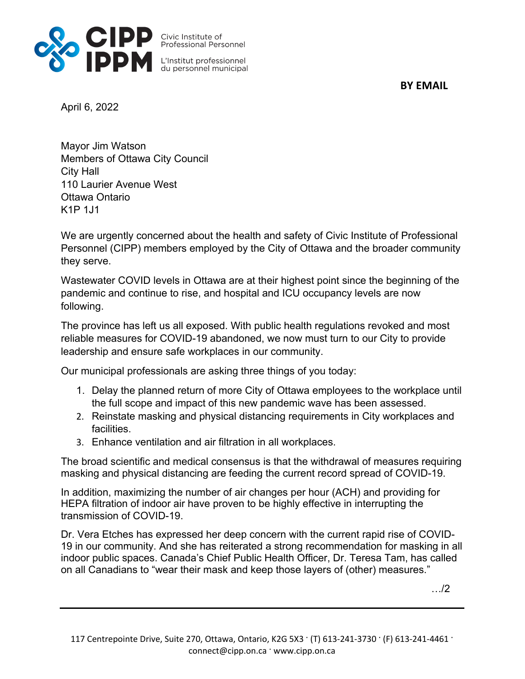

**BY EMAIL**

April 6, 2022

Mayor Jim Watson Members of Ottawa City Council City Hall 110 Laurier Avenue West Ottawa Ontario K1P 1J1

We are urgently concerned about the health and safety of Civic Institute of Professional Personnel (CIPP) members employed by the City of Ottawa and the broader community they serve.

Wastewater COVID levels in Ottawa are at their highest point since the beginning of the pandemic and continue to rise, and hospital and ICU occupancy levels are now following.

The province has left us all exposed. With public health regulations revoked and most reliable measures for COVID-19 abandoned, we now must turn to our City to provide leadership and ensure safe workplaces in our community.

Our municipal professionals are asking three things of you today:

- 1. Delay the planned return of more City of Ottawa employees to the workplace until the full scope and impact of this new pandemic wave has been assessed.
- 2. Reinstate masking and physical distancing requirements in City workplaces and facilities.
- 3. Enhance ventilation and air filtration in all workplaces.

The broad scientific and medical consensus is that the withdrawal of measures requiring masking and physical distancing are feeding the current record spread of COVID-19.

In addition, maximizing the number of air changes per hour (ACH) and providing for HEPA filtration of indoor air have proven to be highly effective in interrupting the transmission of COVID-19.

Dr. Vera Etches has expressed her deep concern with the current rapid rise of COVID-19 in our community. And she has reiterated a strong recommendation for masking in all indoor public spaces. Canada's Chief Public Health Officer, Dr. Teresa Tam, has called on all Canadians to "wear their mask and keep those layers of (other) measures."

…/2